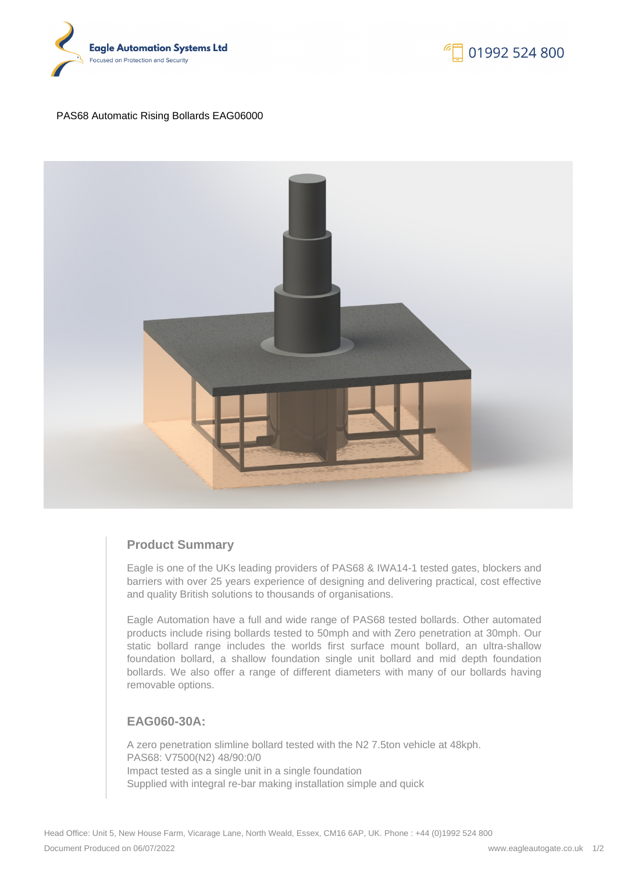



### PAS68 Automatic Rising Bollards EAG06000



# **Product Summary**

Eagle is one of the UKs leading providers of PAS68 & IWA14-1 tested gates, blockers and barriers with over 25 years experience of designing and delivering practical, cost effective and quality British solutions to thousands of organisations.

Eagle Automation have a full and wide range of PAS68 tested bollards. Other automated products include rising bollards tested to 50mph and with Zero penetration at 30mph. Our static bollard range includes the worlds first surface mount bollard, an ultra-shallow foundation bollard, a shallow foundation single unit bollard and mid depth foundation bollards. We also offer a range of different diameters with many of our bollards having removable options.

# **EAG060-30A:**

A zero penetration slimline bollard tested with the N2 7.5ton vehicle at 48kph. PAS68: V7500(N2) 48/90:0/0 Impact tested as a single unit in a single foundation Supplied with integral re-bar making installation simple and quick